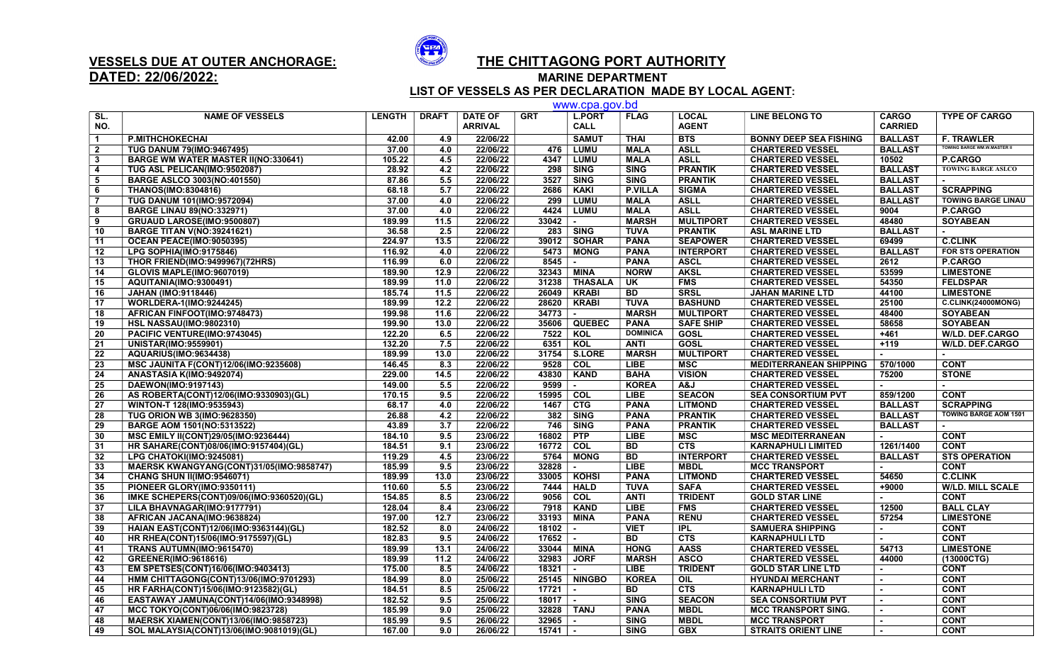

## VESSELS DUE AT OUTER ANCHORAGE: THE CHITTAGONG PORT AUTHORITY

DATED: 22/06/2022: MARINE DEPARTMENT

 LIST OF VESSELS AS PER DECLARATION MADE BY LOCAL AGENT: www.cpa.gov.bd

|                         | www.cpa.gov.pd                               |               |                  |                                  |                                  |                              |                 |                              |                               |                                |                                   |
|-------------------------|----------------------------------------------|---------------|------------------|----------------------------------|----------------------------------|------------------------------|-----------------|------------------------------|-------------------------------|--------------------------------|-----------------------------------|
| SL.<br>NO.              | <b>NAME OF VESSELS</b>                       | <b>LENGTH</b> | <b>DRAFT</b>     | <b>DATE OF</b><br><b>ARRIVAL</b> | <b>GRT</b>                       | <b>L.PORT</b><br><b>CALL</b> | <b>FLAG</b>     | <b>LOCAL</b><br><b>AGENT</b> | <b>LINE BELONG TO</b>         | <b>CARGO</b><br><b>CARRIED</b> | <b>TYPE OF CARGO</b>              |
| $\blacktriangleleft$    | <b>P.MITHCHOKECHAI</b>                       | 42.00         | 4.9              | 22/06/22                         |                                  | <b>SAMUT</b>                 | <b>THAI</b>     | <b>BTS</b>                   | <b>BONNY DEEP SEA FISHING</b> | <b>BALLAST</b>                 | <b>F. TRAWLER</b>                 |
| $\overline{2}$          | <b>TUG DANUM 79(IMO:9467495)</b>             | 37.00         | 4.0              | 22/06/22                         | 476                              | <b>LUMU</b>                  | <b>MALA</b>     | <b>ASLL</b>                  | <b>CHARTERED VESSEL</b>       | <b>BALLAST</b>                 | <b>OWING BARGE WM.W.MASTER II</b> |
| $\overline{\mathbf{3}}$ | <b>BARGE WM WATER MASTER II(NO:330641)</b>   | 105.22        | 4.5              | 22/06/22                         | 4347                             | <b>LUMU</b>                  | <b>MALA</b>     | <b>ASLL</b>                  | <b>CHARTERED VESSEL</b>       | 10502                          | P.CARGO                           |
| $\overline{\mathbf{4}}$ | TUG ASL PELICAN(IMO:9502087)                 | 28.92         | 4.2              | 22/06/22                         | 298                              | <b>SING</b>                  | <b>SING</b>     | <b>PRANTIK</b>               | <b>CHARTERED VESSEL</b>       | <b>BALLAST</b>                 | <b>TOWING BARGE ASLCO</b>         |
| 5                       | <b>BARGE ASLCO 3003(NO:401550)</b>           | 87.86         | 5.5              | 22/06/22                         | 3527                             | <b>SING</b>                  | <b>SING</b>     | <b>PRANTIK</b>               | <b>CHARTERED VESSEL</b>       | <b>BALLAST</b>                 |                                   |
| 6                       | <b>THANOS(IMO:8304816)</b>                   | 68.18         | 5.7              | 22/06/22                         | 2686                             | <b>KAKI</b>                  | <b>P.VILLA</b>  | <b>SIGMA</b>                 | <b>CHARTERED VESSEL</b>       | <b>BALLAST</b>                 | <b>SCRAPPING</b>                  |
| $\overline{7}$          | TUG DANUM 101(IMO:9572094)                   | 37.00         | 4.0              | 22/06/22                         | 299                              | <b>LUMU</b>                  | <b>MALA</b>     | <b>ASLL</b>                  | <b>CHARTERED VESSEL</b>       | <b>BALLAST</b>                 | <b>TOWING BARGE LINAU</b>         |
| 8                       | <b>BARGE LINAU 89(NO:332971)</b>             | 37.00         | 4.0              | 22/06/22                         | 4424                             | <b>LUMU</b>                  | <b>MALA</b>     | <b>ASLL</b>                  | <b>CHARTERED VESSEL</b>       | 9004                           | P.CARGO                           |
| 9                       | GRUAUD LAROSE(IMO:9500807)                   | 189.99        | 11.5             | 22/06/22                         | $33042$ $\vert$ -                |                              | <b>MARSH</b>    | <b>MULTIPORT</b>             | <b>CHARTERED VESSEL</b>       | 48480                          | <b>SOYABEAN</b>                   |
| 10                      | <b>BARGE TITAN V(NO:39241621)</b>            | 36.58         | 2.5              | 22/06/22                         |                                  | $283$ SING                   | <b>TUVA</b>     | <b>PRANTIK</b>               | <b>ASL MARINE LTD</b>         | <b>BALLAST</b>                 |                                   |
| 11                      | <b>OCEAN PEACE(IMO:9050395)</b>              | 224.97        | 13.5             | 22/06/22                         |                                  | 39012   SOHAR                | <b>PANA</b>     | <b>SEAPOWER</b>              | <b>CHARTERED VESSEL</b>       | 69499                          | <b>C.CLINK</b>                    |
| 12                      | LPG SOPHIA(IMO:9175846)                      | 116.92        | 4.0              | 22/06/22                         | 5473                             | <b>MONG</b>                  | <b>PANA</b>     | <b>INTERPORT</b>             | <b>CHARTERED VESSEL</b>       | <b>BALLAST</b>                 | <b>FOR STS OPERATION</b>          |
| 13                      | <b>THOR FRIEND(IMO:9499967)(72HRS)</b>       | 116.99        | 6.0              | 22/06/22                         | 8545                             | $\sim$                       | <b>PANA</b>     | <b>ASCL</b>                  | <b>CHARTERED VESSEL</b>       | 2612                           | <b>P.CARGO</b>                    |
| 14                      | <b>GLOVIS MAPLE(IMO:9607019)</b>             | 189.90        | 12.9             | 22/06/22                         | 32343                            | <b>MINA</b>                  | <b>NORW</b>     | <b>AKSL</b>                  | <b>CHARTERED VESSEL</b>       | 53599                          | <b>LIMESTONE</b>                  |
| 15                      | AQUITANIA(IMO:9300491)                       | 189.99        | 11.0             | 22/06/22                         | 31238                            | <b>THASALA</b>               | UK              | <b>FMS</b>                   | <b>CHARTERED VESSEL</b>       | 54350                          | <b>FELDSPAR</b>                   |
| 16                      | <b>JAHAN (IMO:9118446)</b>                   | 185.74        | 11.5             | 22/06/22                         | 26049                            | <b>KRABI</b>                 | <b>BD</b>       | <b>SRSL</b>                  | <b>JAHAN MARINE LTD</b>       | 44100                          | <b>LIMESTONE</b>                  |
| 17                      | WORLDERA-1(IMO:9244245)                      | 189.99        | 12.2             | 22/06/22                         | 28620                            | <b>KRABI</b>                 | <b>TUVA</b>     | <b>BASHUND</b>               | <b>CHARTERED VESSEL</b>       | 25100                          | C.CLINK(24000MONG)                |
| $\overline{18}$         | AFRICAN FINFOOT(IMO:9748473)                 | 199.98        | 11.6             | 22/06/22                         | 34773                            | $\sim$                       | <b>MARSH</b>    | <b>MULTIPORT</b>             | <b>CHARTERED VESSEL</b>       | 48400                          | <b>SOYABEAN</b>                   |
| 19                      | <b>HSL NASSAU(IMO:9802310)</b>               | 199.90        | 13.0             | 22/06/22                         |                                  | 35606   QUEBEC               | <b>PANA</b>     | <b>SAFE SHIP</b>             | <b>CHARTERED VESSEL</b>       | 58658                          | <b>SOYABEAN</b>                   |
|                         |                                              | 122.20        | 6.5              |                                  |                                  |                              | <b>DOMINICA</b> |                              |                               |                                |                                   |
| 20<br>$\overline{21}$   | PACIFIC VENTURE(IMO:9743045)                 | 132.20        | 7.5              | 22/06/22<br>22/06/22             |                                  | 7522   KOL<br>6351 KOL       |                 | GOSL<br><b>GOSL</b>          | <b>CHARTERED VESSEL</b>       | $+461$                         | <b>W/LD. DEF.CARGO</b>            |
|                         | <b>UNISTAR(IMO:9559901)</b>                  |               |                  |                                  |                                  |                              | <b>ANTI</b>     |                              | <b>CHARTERED VESSEL</b>       | $+119$                         | <b>W/LD. DEF.CARGO</b>            |
| 22                      | <b>AQUARIUS(IMO:9634438)</b>                 | 189.99        | 13.0             | 22/06/22                         |                                  | 31754 S.LORE                 | <b>MARSH</b>    | <b>MULTIPORT</b>             | <b>CHARTERED VESSEL</b>       | $\sim$                         |                                   |
| 23                      | MSC JAUNITA F(CONT)12/06(IMO:9235608)        | 146.45        | 8.3              | 22/06/22                         |                                  | $9528$ COL                   | <b>LIBE</b>     | <b>MSC</b>                   | <b>MEDITERRANEAN SHIPPING</b> | 570/1000                       | <b>CONT</b>                       |
| 24                      | ANASTASIA K(IMO:9492074)                     | 229.00        | 14.5             | 22/06/22                         |                                  | 43830   KAND                 | <b>BAHA</b>     | <b>VISION</b>                | <b>CHARTERED VESSEL</b>       | 75200                          | <b>STONE</b>                      |
| 25                      | DAEWON(IMO:9197143)                          | 149.00        | 5.5              | 22/06/22                         | $9599$ $-$                       |                              | <b>KOREA</b>    | L&A                          | <b>CHARTERED VESSEL</b>       |                                |                                   |
| $\overline{26}$         | AS ROBERTA(CONT)12/06(IMO:9330903)(GL)       | 170.15        | 9.5              | 22/06/22                         | 15995 COL                        |                              | <b>LIBE</b>     | <b>SEACON</b>                | <b>SEA CONSORTIUM PVT</b>     | 859/1200                       | <b>CONT</b>                       |
| 27                      | WINTON-T 128(IMO:9535943)                    | 68.17         | 4.0              | 22/06/22                         | 1467                             | <b>CTG</b>                   | <b>PANA</b>     | <b>LITMOND</b>               | <b>CHARTERED VESSEL</b>       | <b>BALLAST</b>                 | <b>SCRAPPING</b>                  |
| 28                      | <b>TUG ORION WB 3(IMO:9628350)</b>           | 26.88         | 4.2              | 22/06/22                         | 382                              | <b>SING</b>                  | <b>PANA</b>     | <b>PRANTIK</b>               | <b>CHARTERED VESSEL</b>       | <b>BALLAST</b>                 | <b>TOWING BARGE AOM 1501</b>      |
| $\overline{29}$         | BARGE AOM 1501(NO:5313522)                   | 43.89         | $\overline{3.7}$ | 22/06/22                         | 746                              | <b>SING</b>                  | <b>PANA</b>     | <b>PRANTIK</b>               | <b>CHARTERED VESSEL</b>       | <b>BALLAST</b>                 |                                   |
| 30                      | MSC EMILY II(CONT)29/05(IMO:9236444)         | 184.10        | 9.5              | 23/06/22                         | 16802 PTP                        |                              | <b>LIBE</b>     | <b>MSC</b>                   | <b>MSC MEDITERRANEAN</b>      |                                | <b>CONT</b>                       |
| 31                      | HR SAHARE(CONT)08/06(IMO:9157404)(GL)        | 184.51        | 9.1              | 23/06/22                         | 16772 COL                        |                              | <b>BD</b>       | CTS                          | <b>KARNAPHULI LIMITED</b>     | 1261/1400                      | <b>CONT</b>                       |
| 32                      | LPG CHATOKI(IMO:9245081)                     | 119.29        | 4.5              | 23/06/22                         |                                  | $5764$ MONG                  | <b>BD</b>       | <b>INTERPORT</b>             | <b>CHARTERED VESSEL</b>       | <b>BALLAST</b>                 | <b>STS OPERATION</b>              |
| 33                      | MAERSK KWANGYANG(CONT)31/05(IMO:9858747)     | 185.99        | 9.5              | 23/06/22                         | $32828$ -                        |                              | <b>LIBE</b>     | <b>MBDL</b>                  | <b>MCC TRANSPORT</b>          | $\sim$                         | <b>CONT</b>                       |
| 34                      | <b>CHANG SHUN II(IMO:9546071)</b>            | 189.99        | 13.0             | 23/06/22                         |                                  | 33005   KOHSI                | <b>PANA</b>     | <b>LITMOND</b>               | <b>CHARTERED VESSEL</b>       | 54650                          | <b>C.CLINK</b>                    |
| 35                      | PIONEER GLORY(IMO:9350111)                   | 110.60        | 5.5              | 23/06/22                         |                                  | 7444 HALD                    | <b>TUVA</b>     | <b>SAFA</b>                  | <b>CHARTERED VESSEL</b>       | $+9000$                        | <b>W/LD. MILL SCALE</b>           |
| 36                      | IMKE SCHEPERS(CONT)09/06(IMO:9360520)(GL)    | 154.85        | 8.5              | 23/06/22                         | 9056                             | COL                          | <b>ANTI</b>     | <b>TRIDENT</b>               | <b>GOLD STAR LINE</b>         |                                | <b>CONT</b>                       |
| $\overline{37}$         | LILA BHAVNAGAR(IMO:9177791)                  | 128.04        | 8.4              | 23/06/22                         | 7918                             | KAND                         | <b>LIBE</b>     | <b>FMS</b>                   | <b>CHARTERED VESSEL</b>       | 12500                          | <b>BALL CLAY</b>                  |
| 38                      | AFRICAN JACANA(IMO:9638824)                  | 197.00        | 12.7             | 23/06/22                         | 33193                            | <b>MINA</b>                  | <b>PANA</b>     | <b>RENU</b>                  | <b>CHARTERED VESSEL</b>       | 57254                          | <b>LIMESTONE</b>                  |
| 39                      | HAIAN EAST(CONT)12/06(IMO:9363144)(GL)       | 182.52        | 8.0              | 24/06/22                         | 18102                            | $\sim$                       | <b>VIET</b>     | $\overline{IPL}$             | <b>SAMUERA SHIPPING</b>       |                                | <b>CONT</b>                       |
| 40                      | HR RHEA(CONT)15/06(IMO:9175597)(GL)          | 182.83        | 9.5              | 24/06/22                         | $17652$ $\overline{\phantom{1}}$ |                              | <b>BD</b>       | CTS                          | <b>KARNAPHULI LTD</b>         | $\sim$                         | <b>CONT</b>                       |
| 41                      | TRANS AUTUMN(IMO:9615470)                    | 189.99        | 13.1             | 24/06/22                         |                                  | 33044 MINA                   | <b>HONG</b>     | <b>AASS</b>                  | <b>CHARTERED VESSEL</b>       | 54713                          | <b>LIMESTONE</b>                  |
| 42                      | GREENER(IMO:9618616)                         | 189.99        | 11.2             | 24/06/22                         | 32983                            | <b>JORF</b>                  | <b>MARSH</b>    | <b>ASCO</b>                  | <b>CHARTERED VESSEL</b>       | 44000                          | (13000CTG)                        |
| 43                      | EM SPETSES(CONT)16/06(IMO:9403413)           | 175.00        | 8.5              | 24/06/22                         | $18321$ $-$                      |                              | <b>LIBE</b>     | <b>TRIDENT</b>               | <b>GOLD STAR LINE LTD</b>     | $\sim$                         | <b>CONT</b>                       |
| 44                      | HMM CHITTAGONG(CONT)13/06(IMO:9701293)       | 184.99        | 8.0              | 25/06/22                         |                                  | 25145 NINGBO                 | <b>KOREA</b>    | <b>OIL</b>                   | <b>HYUNDAI MERCHANT</b>       | $\sim$                         | <b>CONT</b>                       |
| 45                      | HR FARHA(CONT)15/06(IMO:9123582)(GL)         | 184.51        | 8.5              | 25/06/22                         | $17721$                          | $\sim$                       | <b>BD</b>       | CTS                          | <b>KARNAPHULI LTD</b>         |                                | <b>CONT</b>                       |
| 46                      | EASTAWAY JAMUNA(CONT)14/06(IMO:9348998)      | 182.52        | 9.5              | 25/06/22                         | $18017$ $\overline{\phantom{0}}$ |                              | <b>SING</b>     | <b>SEACON</b>                | <b>SEA CONSORTIUM PVT</b>     |                                | <b>CONT</b>                       |
| 47                      | MCC TOKYO(CONT)06/06(IMO:9823728)            | 185.99        | 9.0              | 25/06/22                         |                                  | 32828   TANJ                 | <b>PANA</b>     | <b>MBDL</b>                  | <b>MCC TRANSPORT SING.</b>    |                                | <b>CONT</b>                       |
| 48                      | <b>MAERSK XIAMEN(CONT)13/06(IMO:9858723)</b> | 185.99        | 9.5              | 26/06/22                         | 32965                            | $\sim$                       | <b>SING</b>     | <b>MBDL</b>                  | <b>MCC TRANSPORT</b>          |                                | <b>CONT</b>                       |
| 49                      | SOL MALAYSIA(CONT)13/06(IMO:9081019)(GL)     | 167.00        | 9.0              | 26/06/22                         | $15741 -$                        |                              | <b>SING</b>     | <b>GBX</b>                   | <b>STRAITS ORIENT LINE</b>    |                                | <b>CONT</b>                       |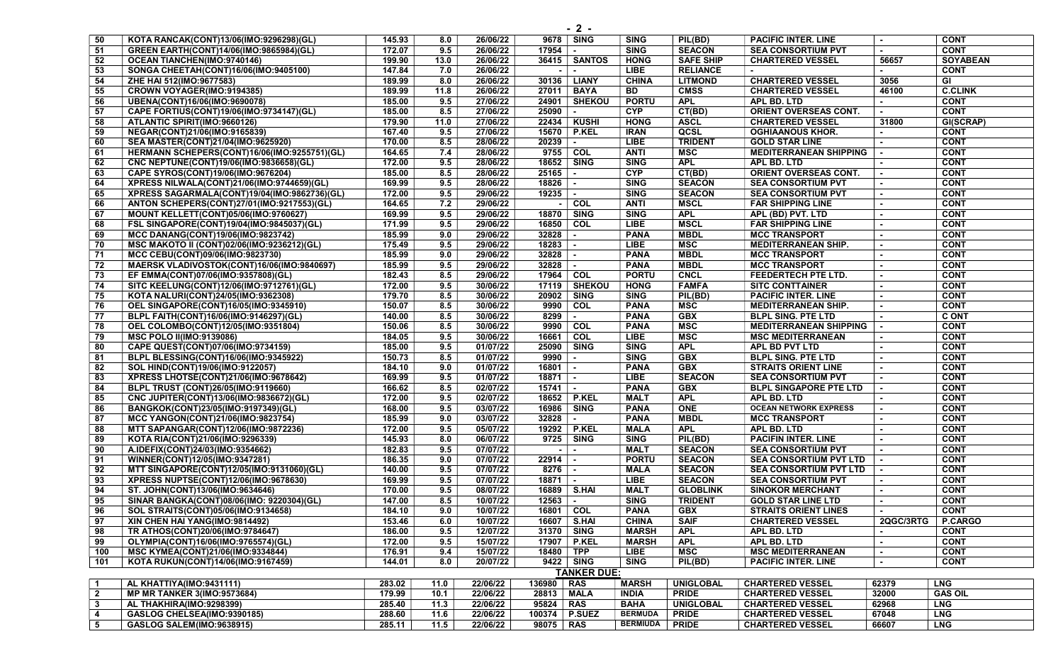| 50              | KOTA RANCAK(CONT)13/06(IMO:9296298)(GL)          | 145.93 | 8.0  | 26/06/22 | 9678   SING             | <b>SING</b>     | PIL(BD)          | <b>PACIFIC INTER, LINE</b>                  |           | <b>CONT</b>     |
|-----------------|--------------------------------------------------|--------|------|----------|-------------------------|-----------------|------------------|---------------------------------------------|-----------|-----------------|
|                 |                                                  |        |      |          |                         |                 |                  |                                             |           |                 |
| 51              | GREEN EARTH(CONT)14/06(IMO:9865984)(GL)          | 172.07 | 9.5  | 26/06/22 | 17954 l                 | <b>SING</b>     | <b>SEACON</b>    | <b>SEA CONSORTIUM PVT</b>                   |           | <b>CONT</b>     |
| 52              | OCEAN TIANCHEN(IMO:9740146)                      | 199.90 | 13.0 | 26/06/22 | 36415   SANTOS          | <b>HONG</b>     | <b>SAFE SHIP</b> | <b>CHARTERED VESSEL</b>                     | 56657     | <b>SOYABEAN</b> |
| 53              | SONGA CHEETAH(CONT)16/06(IMO:9405100)            | 147.84 | 7.0  | 26/06/22 | $\sim$<br>$\sim$        | <b>LIBE</b>     | <b>RELIANCE</b>  |                                             |           | <b>CONT</b>     |
| 54              | ZHE HAI 512(IMO:9677583)                         | 189.99 | 8.0  | 26/06/22 | 30136<br>LIANY          | <b>CHINA</b>    | <b>LITMOND</b>   | <b>CHARTERED VESSEL</b>                     | 3056      | GI              |
| 55              | CROWN VOYAGER(IMO:9194385)                       | 189.99 | 11.8 | 26/06/22 | <b>BAYA</b><br>27011    | BD              | <b>CMSS</b>      | <b>CHARTERED VESSEL</b>                     | 46100     | <b>C.CLINK</b>  |
| 56              | UBENA(CONT)16/06(IMO:9690078)                    | 185.00 | 9.5  | 27/06/22 | 24901   SHEKOU          | <b>PORTU</b>    | <b>APL</b>       | APL BD. LTD                                 |           | <b>CONT</b>     |
| 57              | CAPE FORTIUS(CONT)19/06(IMO:9734147)(GL)         | 185.00 | 8.5  | 27/06/22 | 25090                   | <b>CYP</b>      | CT(BD)           | <b>ORIENT OVERSEAS CONT.</b>                |           | <b>CONT</b>     |
| 58              | ATLANTIC SPIRIT(IMO:9660126)                     | 179.90 | 11.0 | 27/06/22 | 22434   KUSHI           | <b>HONG</b>     | <b>ASCL</b>      | <b>CHARTERED VESSEL</b>                     | 31800     | GI(SCRAP)       |
| 59              | NEGAR(CONT)21/06(IMO:9165839)                    | 167.40 | 9.5  | 27/06/22 | 15670<br><b>P.KEL</b>   | <b>IRAN</b>     | QCSL             | <b>OGHIAANOUS KHOR.</b>                     |           | <b>CONT</b>     |
| 60              | SEA MASTER(CONT)21/04(IMO:9625920)               | 170.00 | 8.5  | 28/06/22 | 20239                   | <b>LIBE</b>     | <b>TRIDENT</b>   | <b>GOLD STAR LINE</b>                       |           | <b>CONT</b>     |
| 61              | HERMANN SCHEPERS(CONT)16/06(IMO:9255751)(GL)     | 164.65 | 7.4  | 28/06/22 | 9755 COL                | <b>ANTI</b>     | <b>MSC</b>       | <b>MEDITERRANEAN SHIPPING</b>               |           | <b>CONT</b>     |
| 62              | CNC NEPTUNE(CONT)19/06(IMO:9836658)(GL)          | 172.00 | 9.5  | 28/06/22 | 18652 SING              | <b>SING</b>     | <b>APL</b>       | APL BD. LTD                                 | $\sim$    | <b>CONT</b>     |
| 63              | CAPE SYROS(CONT)19/06(IMO:9676204)               | 185.00 | 8.5  | 28/06/22 | $25165$ -               | <b>CYP</b>      | CT(BD)           | ORIENT OVERSEAS CONT.                       |           | <b>CONT</b>     |
| 64              | XPRESS NILWALA(CONT)21/06(IMO:9744659)(GL)       | 169.99 | 9.5  | 28/06/22 | 18826                   | <b>SING</b>     | <b>SEACON</b>    | <b>SEA CONSORTIUM PVT</b>                   |           | <b>CONT</b>     |
| 65              | XPRESS SAGARMALA(CONT)19/04(IMO:9862736)(GL)     | 172.00 | 9.5  | 29/06/22 | 19235                   | <b>SING</b>     | <b>SEACON</b>    | <b>SEA CONSORTIUM PVT</b>                   |           | <b>CONT</b>     |
| 66              | ANTON SCHEPERS(CONT)27/01(IMO:9217553)(GL)       | 164.65 | 7.2  | 29/06/22 | $-$ COL                 | <b>ANTI</b>     | <b>MSCL</b>      | <b>FAR SHIPPING LINE</b>                    |           | <b>CONT</b>     |
|                 |                                                  | 169.99 |      | 29/06/22 |                         |                 | <b>APL</b>       |                                             | $\sim$    | <b>CONT</b>     |
| 67              | <b>MOUNT KELLETT(CONT)05/06(IMO:9760627)</b>     |        | 9.5  |          | 18870   SING            | <b>SING</b>     |                  | APL (BD) PVT. LTD                           |           |                 |
| 68              | FSL SINGAPORE(CONT)19/04(IMO:9845037)(GL)        | 171.99 | 9.5  | 29/06/22 | 16850 COL               | <b>LIBE</b>     | <b>MSCL</b>      | <b>FAR SHIPPING LINE</b>                    |           | <b>CONT</b>     |
| 69              | MCC DANANG(CONT)19/06(IMO:9823742)               | 185.99 | 9.0  | 29/06/22 | 32828                   | <b>PANA</b>     | <b>MBDL</b>      | <b>MCC TRANSPORT</b>                        |           | <b>CONT</b>     |
| 70              | MSC MAKOTO II (CONT)02/06(IMO:9236212)(GL)       | 175.49 | 9.5  | 29/06/22 | 18283                   | <b>LIBE</b>     | <b>MSC</b>       | <b>MEDITERRANEAN SHIP.</b>                  |           | <b>CONT</b>     |
| 71              | MCC CEBU(CONT)09/06(IMO:9823730)                 | 185.99 | 9.0  | 29/06/22 | 32828<br>$\sim$         | <b>PANA</b>     | <b>MBDL</b>      | <b>MCC TRANSPORT</b>                        |           | <b>CONT</b>     |
| 72              | MAERSK VLADIVOSTOK(CONT)16/06(IMO:9840697)       | 185.99 | 9.5  | 29/06/22 | 32828                   | <b>PANA</b>     | <b>MBDL</b>      | <b>MCC TRANSPORT</b>                        |           | <b>CONT</b>     |
| 73              | EF EMMA(CONT)07/06(IMO:9357808)(GL)              | 182.43 | 8.5  | 29/06/22 | 17964   COL             | <b>PORTU</b>    | <b>CNCL</b>      | FEEDERTECH PTE LTD.                         |           | <b>CONT</b>     |
| 74              | SITC KEELUNG(CONT)12/06(IMO:9712761)(GL)         | 172.00 | 9.5  | 30/06/22 | 17119   SHEKOU          | <b>HONG</b>     | <b>FAMFA</b>     | <b>SITC CONTTAINER</b>                      |           | <b>CONT</b>     |
| 75              | KOTA NALURI(CONT)24/05(IMO:9362308)              | 179.70 | 8.5  | 30/06/22 | 20902   SING            | <b>SING</b>     | PIL(BD)          | <b>PACIFIC INTER. LINE</b>                  |           | <b>CONT</b>     |
| 76              | OEL SINGAPORE(CONT)16/05(IMO:9345910)            | 150.07 | 8.5  | 30/06/22 | $9990$ COL              | <b>PANA</b>     | <b>MSC</b>       | <b>MEDITERRANEAN SHIP.</b>                  |           | <b>CONT</b>     |
| $\overline{77}$ | BLPL FAITH(CONT)16/06(IMO:9146297)(GL)           | 140.00 | 8.5  | 30/06/22 | 8299<br>$\sim$          | <b>PANA</b>     | GBX              | <b>BLPL SING. PTE LTD</b>                   |           | <b>C ONT</b>    |
| 78              | OEL COLOMBO(CONT)12/05(IMO:9351804)              | 150.06 | 8.5  | 30/06/22 | 9990 COL                | <b>PANA</b>     | <b>MSC</b>       | <b>MEDITERRANEAN SHIPPING</b>               |           | <b>CONT</b>     |
| 79              | <b>MSC POLO II(IMO:9139086)</b>                  | 184.05 | 9.5  | 30/06/22 | 16661   COL             | <b>LIBE</b>     | MSC              | <b>MSC MEDITERRANEAN</b>                    | $\sim$    | <b>CONT</b>     |
| 80              | CAPE QUEST(CONT)07/06(IMO:9734159)               | 185.00 | 9.5  | 01/07/22 | 25090 SING              | <b>SING</b>     | <b>APL</b>       | APL BD PVT LTD                              |           | <b>CONT</b>     |
| 81              | BLPL BLESSING(CONT)16/06(IMO:9345922)            | 150.73 | 8.5  | 01/07/22 | 9990                    | <b>SING</b>     | <b>GBX</b>       | <b>BLPL SING. PTE LTD</b>                   |           | <b>CONT</b>     |
| 82              | SOL HIND(CONT)19/06(IMO:9122057)                 | 184.10 | 9.0  | 01/07/22 | 16801                   | <b>PANA</b>     | GBX              | <b>STRAITS ORIENT LINE</b>                  |           | <b>CONT</b>     |
| 83              | XPRESS LHOTSE(CONT)21/06(IMO:9678642)            | 169.99 | 9.5  | 01/07/22 | 18871<br>$\blacksquare$ | <b>LIBE</b>     | <b>SEACON</b>    | <b>SEA CONSORTIUM PVT</b>                   |           | <b>CONT</b>     |
| 84              | BLPL TRUST (CONT)26/05(IMO:9119660)              | 166.62 | 8.5  | 02/07/22 | $15741$ $-$             | <b>PANA</b>     | <b>GBX</b>       | <b>BLPL SINGAPORE PTE LTD</b>               |           | <b>CONT</b>     |
| 85              |                                                  | 172.00 | 9.5  | 02/07/22 | 18652   P.KEL           | <b>MALT</b>     | <b>APL</b>       |                                             |           | <b>CONT</b>     |
|                 | CNC JUPITER(CONT)13/06(IMO:9836672)(GL)          |        |      |          |                         |                 |                  | APL BD. LTD<br><b>OCEAN NETWORK EXPRESS</b> |           |                 |
| 86              | BANGKOK(CONT)23/05(IMO:9197349)(GL)              | 168.00 | 9.5  | 03/07/22 | 16986<br>SING           | <b>PANA</b>     | <b>ONE</b>       |                                             |           | <b>CONT</b>     |
| 87              | MCC YANGON(CONT)21/06(IMO:9823754)               | 185.99 | 9.0  | 03/07/22 | 32828                   | <b>PANA</b>     | <b>MBDL</b>      | <b>MCC TRANSPORT</b>                        |           | <b>CONT</b>     |
| 88              | MTT SAPANGAR(CONT)12/06(IMO:9872236)             | 172.00 | 9.5  | 05/07/22 | 19292<br><b>P.KEL</b>   | <b>MALA</b>     | <b>APL</b>       | APL BD. LTD                                 |           | <b>CONT</b>     |
| 89              | KOTA RIA(CONT)21/06(IMO:9296339)                 | 145.93 | 8.0  | 06/07/22 | 9725<br><b>SING</b>     | <b>SING</b>     | PIL(BD)          | <b>PACIFIN INTER. LINE</b>                  | $\sim$    | <b>CONT</b>     |
| 90              | A.IDEFIX(CONT)24/03(IMO:9354662)                 | 182.83 | 9.5  | 07/07/22 |                         | <b>MALT</b>     | <b>SEACON</b>    | <b>SEA CONSORTIUM PVT</b>                   |           | <b>CONT</b>     |
| 91              | WINNER(CONT)12/05(IMO:9347281)                   | 186.35 | 9.0  | 07/07/22 | 22914                   | <b>PORTU</b>    | <b>SEACON</b>    | <b>SEA CONSORTIUM PVT LTD</b>               |           | <b>CONT</b>     |
| 92              | <b>MTT SINGAPORE(CONT)12/05(IMO:9131060)(GL)</b> | 140.00 | 9.5  | 07/07/22 | 8276   -                | <b>MALA</b>     | <b>SEACON</b>    | <b>SEA CONSORTIUM PVT LTD</b>               | $\sim$    | <b>CONT</b>     |
| 93              | XPRESS NUPTSE(CONT)12/06(IMO:9678630)            | 169.99 | 9.5  | 07/07/22 | $18871$ $-$             | <b>LIBE</b>     | <b>SEACON</b>    | <b>SEA CONSORTIUM PVT</b>                   |           | <b>CONT</b>     |
| 94              | ST. JOHN(CONT)13/06(IMO:9634646)                 | 170.00 | 9.5  | 08/07/22 | 16889   S.HAI           | <b>MALT</b>     | <b>GLOBLINK</b>  | <b>SINOKOR MERCHANT</b>                     |           | <b>CONT</b>     |
| 95              | SINAR BANGKA(CONT)08/06(IMO: 9220304)(GL)        | 147.00 | 8.5  | 10/07/22 | $12563$ $\vert$ -       | <b>SING</b>     | <b>TRIDENT</b>   | <b>GOLD STAR LINE LTD</b>                   |           | <b>CONT</b>     |
| 96              | SOL STRAITS(CONT)05/06(IMO:9134658)              | 184.10 | 9.0  | 10/07/22 | 16801   COL             | <b>PANA</b>     | <b>GBX</b>       | <b>STRAITS ORIENT LINES</b>                 | $\sim$    | <b>CONT</b>     |
| 97              | XIN CHEN HAI YANG(IMO:9814492)                   | 153.46 | 6.0  | 10/07/22 | 16607   S.HAI           | <b>CHINA</b>    | <b>SAIF</b>      | <b>CHARTERED VESSEL</b>                     | 2QGC/3RTG | P.CARGO         |
| 98              | TR ATHOS(CONT)20/06(IMO:9784647)                 | 186.00 | 9.5  | 12/07/22 | 31370   SING            | <b>MARSH</b>    | <b>APL</b>       | APL BD. LTD                                 |           | <b>CONT</b>     |
| 99              | OLYMPIA(CONT)16/06(IMO:9765574)(GL)              | 172.00 | 9.5  | 15/07/22 | 17907   P.KEL           | <b>MARSH</b>    | <b>APL</b>       | APL BD. LTD                                 |           | <b>CONT</b>     |
| 100             | MSC KYMEA(CONT)21/06(IMO:9334844)                | 176.91 | 9.4  | 15/07/22 | 18480   TPP             | LIBE            | MSC              | <b>MSC MEDITERRANEAN</b>                    |           | <b>CONT</b>     |
| 101             | KOTA RUKUN(CONT)14/06(IMO:9167459)               | 144.01 | 8.0  | 20/07/22 | 9422 SING               | <b>SING</b>     | PIL(BD)          | <b>PACIFIC INTER. LINE</b>                  | $\sim$    | <b>CONT</b>     |
|                 |                                                  |        |      |          | <b>TANKER DUE:</b>      |                 |                  |                                             |           |                 |
|                 |                                                  |        |      |          |                         |                 |                  |                                             |           |                 |
| $\overline{1}$  | AL KHATTIYA(IMO:9431111)                         | 283.02 | 11.0 | 22/06/22 | 136980 RAS              | <b>MARSH</b>    | <b>UNIGLOBAL</b> | <b>CHARTERED VESSEL</b>                     | 62379     | <b>LNG</b>      |
| $\overline{2}$  | <b>MP MR TANKER 3(IMO:9573684)</b>               | 179.99 | 10.1 | 22/06/22 | <b>MALA</b><br>28813    | <b>INDIA</b>    | <b>PRIDE</b>     | <b>CHARTERED VESSEL</b>                     | 32000     | <b>GAS OIL</b>  |
| $\mathbf{3}$    | AL THAKHIRA(IMO:9298399)                         | 285.40 | 11.3 | 22/06/22 | 95824<br><b>RAS</b>     | <b>BAHA</b>     | <b>UNIGLOBAL</b> | <b>CHARTERED VESSEL</b>                     | 62968     | <b>LNG</b>      |
| 4               | GASLOG CHELSEA(IMO:9390185)                      | 288.60 | 11.6 | 22/06/22 | P.SUEZ<br>100374        | <b>BERMUDA</b>  | <b>PRIDE</b>     | <b>CHARTERED VESSEL</b>                     | 67048     | <b>LNG</b>      |
| 5               | <b>GASLOG SALEM(IMO:9638915)</b>                 | 285.11 | 11.5 | 22/06/22 | 98075<br><b>RAS</b>     | <b>BERMIUDA</b> | <b>PRIDE</b>     | <b>CHARTERED VESSEL</b>                     | 66607     | <b>LNG</b>      |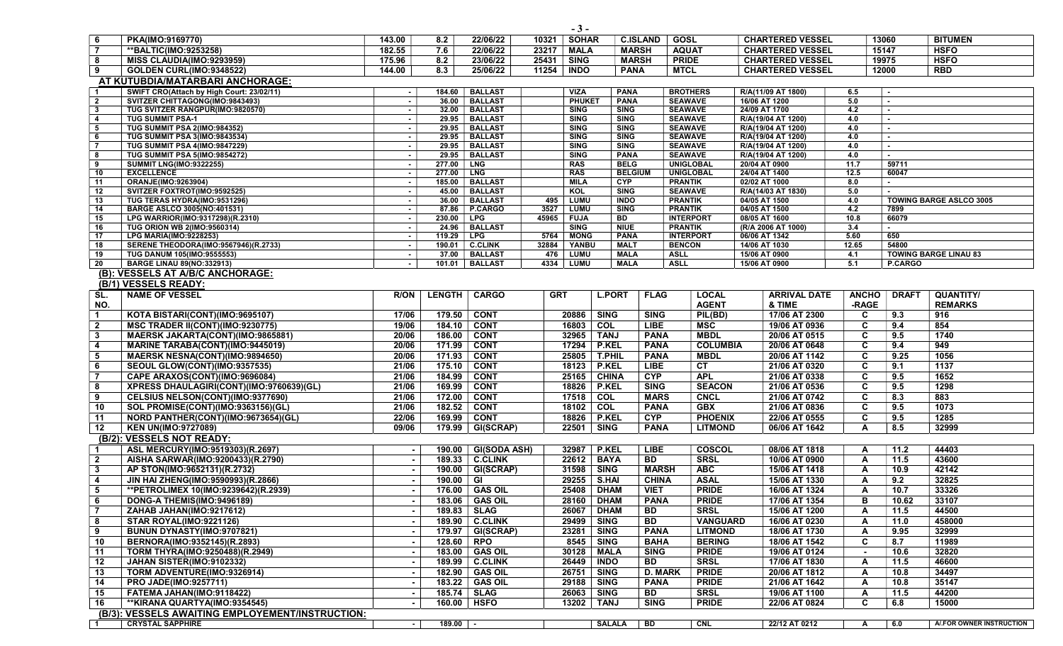|                                         |                                                                |                          |                 |                                  |             | $-3-$                      |                            |                 |                                  |                                     |              |                |                                |
|-----------------------------------------|----------------------------------------------------------------|--------------------------|-----------------|----------------------------------|-------------|----------------------------|----------------------------|-----------------|----------------------------------|-------------------------------------|--------------|----------------|--------------------------------|
| 6                                       | PKA(IMO:9169770)                                               | 143.00                   | 8.2             | 22/06/22                         | 10321       | <b>SOHAR</b>               |                            | <b>C.ISLAND</b> | <b>GOSL</b>                      | <b>CHARTERED VESSEL</b>             |              | 13060          | <b>BITUMEN</b>                 |
| $\vert$ 7                               | **BALTIC(IMO:9253258)                                          | 182.55                   | 7.6             | 22/06/22                         | 23217       | <b>MALA</b>                |                            | <b>MARSH</b>    | <b>AQUAT</b>                     | <b>CHARTERED VESSEL</b>             |              | 15147          | <b>HSFO</b>                    |
| 8                                       | MISS CLAUDIA(IMO:9293959)                                      | 175.96                   | 8.2             | 23/06/22                         | 25431       | <b>SING</b>                |                            | <b>MARSH</b>    | <b>PRIDE</b>                     | <b>CHARTERED VESSEL</b>             |              | 19975          | <b>HSFO</b>                    |
| l 9                                     | GOLDEN CURL(IMO:9348522)                                       | 144.00                   | 8.3             | 25/06/22                         | 11254       | <b>INDO</b>                | <b>PANA</b>                |                 | <b>MTCL</b>                      | <b>CHARTERED VESSEL</b>             |              | 12000          | <b>RBD</b>                     |
|                                         | AT KUTUBDIA/MATARBARI ANCHORAGE:                               |                          |                 |                                  |             |                            |                            |                 |                                  |                                     |              |                |                                |
| $\overline{1}$                          | SWIFT CRO(Attach by High Court: 23/02/11)                      | $\sim$                   | 184.60          | <b>BALLAST</b>                   |             | <b>VIZA</b>                | <b>PANA</b>                |                 | <b>BROTHERS</b>                  | R/A(11/09 AT 1800)                  | 6.5          | $\overline{a}$ |                                |
| $\overline{2}$                          | SVITZER CHITTAGONG(IMO:9843493)                                | $\sim$                   | 36.00           | <b>BALLAST</b>                   |             | <b>PHUKET</b>              | <b>PANA</b>                |                 | <b>SEAWAVE</b>                   | 16/06 AT 1200                       | 5.0          | $\sim$         |                                |
| $\mathbf{3}$<br>$\overline{\mathbf{A}}$ | TUG SVITZER RANGPUR(IMO:9820570)<br><b>TUG SUMMIT PSA-1</b>    | $\sim$                   | 32.00<br>29.95  | <b>BALLAST</b><br><b>BALLAST</b> |             | <b>SING</b><br><b>SING</b> | <b>SING</b><br>SING        |                 | <b>SEAWAVE</b><br><b>SEAWAVE</b> | 24/09 AT 1700<br>R/A(19/04 AT 1200) | 4.2<br>4.0   | $\sim$         |                                |
| 5                                       | TUG SUMMIT PSA 2(IMO:984352)                                   | $\sim$<br>$\sim$         | 29.95           | <b>BALLAST</b>                   |             | <b>SING</b>                | <b>SING</b>                |                 | <b>SEAWAVE</b>                   | R/A(19/04 AT 1200)                  | 4.0          | $\mathbf{r}$   |                                |
| 6                                       | <b>TUG SUMMIT PSA 3(IMO:9843534)</b>                           | $\sim$                   | 29.95           | <b>BALLAST</b>                   |             | <b>SING</b>                | <b>SING</b>                |                 | <b>SEAWAVE</b>                   | R/A(19/04 AT 1200)                  | 4.0          | $\sim$         |                                |
| $\overline{7}$                          | <b>TUG SUMMIT PSA 4(IMO:9847229)</b>                           | $\sim$                   | 29.95           | <b>BALLAST</b>                   |             | <b>SING</b>                | <b>SING</b>                |                 | <b>SEAWAVE</b>                   | R/A(19/04 AT 1200)                  | 4.0          | $\sim$         |                                |
| 8                                       | <b>TUG SUMMIT PSA 5(IMO:9854272)</b>                           | $\sim$                   | 29.95           | <b>BALLAST</b>                   |             | <b>SING</b>                | <b>PANA</b>                |                 | <b>SEAWAVE</b>                   | R/A(19/04 AT 1200)                  | 4.0          | $\sim$         |                                |
| 9                                       | <b>SUMMIT LNG(IMO:9322255)</b>                                 | $\sim$                   | 277.00          | <b>LNG</b>                       |             | <b>RAS</b>                 | <b>BELG</b>                |                 | <b>UNIGLOBAL</b>                 | 20/04 AT 0900                       | 11.7         | 59711          |                                |
| 10                                      | <b>EXCELLENCE</b>                                              | $\sim$                   | 277.00          | <b>LNG</b>                       |             | <b>RAS</b>                 | <b>BELGIUM</b>             |                 | <b>UNIGLOBAL</b>                 | 24/04 AT 1400                       | 12.5         | 60047          |                                |
| 11<br>12                                | ORANJE(IMO:9263904)<br>SVITZER FOXTROT(IMO:9592525)            | $\sim$                   | 185.00<br>45.00 | <b>BALLAST</b><br><b>BALLAST</b> |             | <b>MILA</b><br><b>KOL</b>  | <b>CYP</b><br><b>SING</b>  |                 | <b>PRANTIK</b><br><b>SEAWAVE</b> | 02/02 AT 1000<br>R/A(14/03 AT 1830) | 8.0<br>5.0   |                |                                |
| 13                                      | TUG TERAS HYDRA(IMO:9531296)                                   | $\sim$                   | 36.00           | <b>BALLAST</b>                   | 495         | <b>LUMU</b>                | <b>INDO</b>                |                 | <b>PRANTIK</b>                   | 04/05 AT 1500                       | 4.0          |                | <b>TOWING BARGE ASLCO 3005</b> |
| 14                                      | <b>BARGE ASLCO 3005(NO:401531)</b>                             | $\sim$                   | 87.86           | P.CARGO                          | 3527        | LUMU                       | <b>SING</b>                |                 | <b>PRANTIK</b>                   | 04/05 AT 1500                       | 4.2          | 7899           |                                |
| 15                                      | LPG WARRIOR(IMO:9317298)(R.2310)                               | $\sim$                   | 230.00          | <b>LPG</b>                       | 45965       | <b>FUJA</b>                | BD                         |                 | <b>INTERPORT</b>                 | 08/05 AT 1600                       | 10.8         | 66079          |                                |
| 16                                      | TUG ORION WB 2(IMO:9560314)                                    | $\sim$                   | 24.96           | <b>BALLAST</b>                   |             | <b>SING</b>                | <b>NIUE</b>                |                 | <b>PRANTIK</b>                   | (R/A 2006 AT 1000)                  | 3.4          | $\blacksquare$ |                                |
| 17                                      | <b>LPG MARIA(IMO:9228253)</b>                                  | $\sim$                   | 119.29          | <b>LPG</b>                       | 5764        | <b>MONG</b>                | <b>PANA</b>                |                 | <b>INTERPORT</b>                 | 06/06 AT 1342                       | 5.60         | 650            |                                |
| 18<br>19                                | SERENE THEODORA(IMO:9567946)(R.2733)                           | $\sim$                   | 190.01<br>37.00 | <b>C.CLINK</b><br><b>BALLAST</b> | 32884       | YANBU                      | <b>MALT</b><br><b>MALA</b> | <b>ASLL</b>     | <b>BENCON</b>                    | 14/06 AT 1030<br>15/06 AT 0900      | 12.65<br>4.1 | 54800          | <b>TOWING BARGE LINAU 83</b>   |
| 20                                      | TUG DANUM 105(IMO:9555553)<br><b>BARGE LINAU 89(NO:332913)</b> | $\sim$                   | 101.01          | <b>BALLAST</b>                   | 476<br>4334 | LUMU<br>LUMU               | <b>MALA</b>                | <b>ASLL</b>     |                                  | 15/06 AT 0900                       | 5.1          | P.CARGO        |                                |
|                                         | (B): VESSELS AT A/B/C ANCHORAGE:                               |                          |                 |                                  |             |                            |                            |                 |                                  |                                     |              |                |                                |
|                                         | (B/1) VESSELS READY:                                           |                          |                 |                                  |             |                            |                            |                 |                                  |                                     |              |                |                                |
| SL.                                     | <b>NAME OF VESSEL</b>                                          | <b>R/ON</b>              | <b>LENGTH</b>   | <b>CARGO</b>                     | <b>GRT</b>  |                            | <b>L.PORT</b>              | <b>FLAG</b>     | <b>LOCAL</b>                     | <b>ARRIVAL DATE</b>                 | <b>ANCHO</b> | <b>DRAFT</b>   | QUANTITY/                      |
| NO.                                     |                                                                |                          |                 |                                  |             |                            |                            |                 | <b>AGENT</b>                     | & TIME                              | -RAGE        |                | <b>REMARKS</b>                 |
| $\overline{\mathbf{1}}$                 | KOTA BISTARI(CONT)(IMO:9695107)                                | 17/06                    | 179.50          | <b>CONT</b>                      |             | 20886                      | <b>SING</b>                | <b>SING</b>     | PIL(BD)                          | 17/06 AT 2300                       | C            | 9.3            | 916                            |
| $\overline{\mathbf{2}}$                 | MSC TRADER II(CONT)(IMO:9230775)                               | 19/06                    | 184.10          | <b>CONT</b>                      |             | 16803                      | COL                        | <b>LIBE</b>     | <b>MSC</b>                       | 19/06 AT 0936                       | C            | 9.4            | 854                            |
| $\mathbf{3}$                            | MAERSK JAKARTA(CONT)(IMO:9865881)                              | 20/06                    | 186.00          | <b>CONT</b>                      |             | 32965                      | <b>TANJ</b>                | <b>PANA</b>     | <b>MBDL</b>                      | 20/06 AT 0515                       | C            | 9.5            | 1740                           |
| $\overline{4}$                          | MARINE TARABA(CONT)(IMO:9445019)                               | 20/06                    | 171.99          | <b>CONT</b>                      |             | 17294                      | P.KEL                      | <b>PANA</b>     | <b>COLUMBIA</b>                  | 20/06 AT 0648                       | C            | 9.4            | 949                            |
| 5                                       | MAERSK NESNA(CONT)(IMO:9894650)                                | 20/06                    | 171.93          | <b>CONT</b>                      |             | 25805                      | T.PHIL                     | <b>PANA</b>     | <b>MBDL</b>                      | 20/06 AT 1142                       | C            | 9.25           | 1056                           |
| 6                                       | SEOUL GLOW(CONT)(IMO:9357535)                                  | 21/06                    | 175.10          | <b>CONT</b>                      |             | 18123                      | <b>P.KEL</b>               | <b>LIBE</b>     | cr                               | 21/06 AT 0320                       | C            | 9.1            | 1137                           |
| $\overline{7}$                          | CAPE ARAXOS(CONT)(IMO:9696084)                                 | 21/06                    | 184.99          | <b>CONT</b>                      |             | 25165                      | <b>CHINA</b>               | CYP             | <b>APL</b>                       | 21/06 AT 0338                       | C            | 9.5            | 1652                           |
| 8                                       | XPRESS DHAULAGIRI(CONT)(IMO:9760639)(GL)                       | 21/06                    | 169.99          | <b>CONT</b>                      |             | 18826                      | <b>P.KEL</b>               | <b>SING</b>     | <b>SEACON</b>                    | 21/06 AT 0536                       | C            | 9.5            | 1298                           |
| 9                                       | CELSIUS NELSON(CONT)(IMO:9377690)                              | 21/06                    | 172.00          | <b>CONT</b>                      |             | 17518                      | COL                        | <b>MARS</b>     | <b>CNCL</b>                      | 21/06 AT 0742                       | C            | 8.3            | 883                            |
| 10                                      | SOL PROMISE(CONT)(IMO:9363156)(GL)                             | 21/06                    | 182.52          | <b>CONT</b>                      |             | 18102                      | $\overline{COL}$           | <b>PANA</b>     | <b>GBX</b>                       | 21/06 AT 0836                       | C            | 9.5            | 1073                           |
| 11                                      | NORD PANTHER(CONT)(IMO:9673654)(GL)                            | 22/06                    | 169.99          | <b>CONT</b>                      |             | 18826                      | P.KEL                      | <b>CYP</b>      | <b>PHOENIX</b>                   | 22/06 AT 0555                       | C            | 9.5            | 1285                           |
| 12                                      | <b>KEN UN(IMO:9727089)</b>                                     | 09/06                    | 179.99          | GI(SCRAP)                        |             | 22501                      | <b>SING</b>                | <b>PANA</b>     | <b>LITMOND</b>                   | 06/06 AT 1642                       | $\mathbf{A}$ | 8.5            | 32999                          |
|                                         | (B/2): VESSELS NOT READY:                                      |                          |                 |                                  |             |                            |                            |                 |                                  |                                     |              |                |                                |
| -1                                      | ASL MERCURY(IMO:9519303)(R.2697)                               | $\sim$                   | 190.00          | <b>GI(SODA ASH)</b>              |             | 32987                      | <b>P.KEL</b>               | LIBE            | <b>COSCOL</b>                    | 08/06 AT 1818                       | A            | 11.2           | 44403                          |
| $\overline{\mathbf{2}}$                 | AISHA SARWAR(IMO:9200433)(R.2790)                              |                          | 189.33          | <b>C.CLINK</b>                   |             | 22612                      | <b>BAYA</b>                | BD              | <b>SRSL</b>                      | 10/06 AT 0900                       | A            | 11.5           | 43600                          |
| $\boldsymbol{3}$                        | AP STON(IMO:9652131)(R.2732)                                   |                          |                 | 190.00   GI(SCRAP)               |             | 31598                      | <b>SING</b>                | <b>MARSH</b>    | <b>ABC</b>                       | 15/06 AT 1418                       | A            | 10.9           | 42142                          |
| $\overline{\mathbf{4}}$                 | JIN HAI ZHENG(IMO:9590993)(R.2866)                             | $\sim$                   | 190.00 GI       |                                  |             | 29255                      | <b>S.HAI</b>               | <b>CHINA</b>    | <b>ASAL</b>                      | 15/06 AT 1330                       | A            | 9.2            | 32825                          |
| 5                                       | **PETROLIMEX 10(IMO:9239642)(R.2939)                           |                          |                 | 176.00 GAS OIL                   |             | 25408                      | <b>DHAM</b>                | <b>VIET</b>     | <b>PRIDE</b>                     | 16/06 AT 1324                       | A            | 10.7           | 33326                          |
| 6                                       | DONG-A THEMIS(IMO:9496189)                                     | $\sim$                   |                 | 183.06 GAS OIL                   |             | 28160                      | <b>DHAM</b>                | <b>PANA</b>     | <b>PRIDE</b>                     | 17/06 AT 1354                       | в            | 10.62          | 33107                          |
|                                         | ZAHAB JAHAN(IMO:9217612)                                       |                          |                 | 189.83   SLAG                    |             | 26067                      | <b>DHAM</b>                | <b>BD</b>       | <b>SRSL</b>                      | 15/06 AT 1200                       | A            | 11.5           | 44500                          |
| 8                                       | <b>STAR ROYAL(IMO:9221126)</b>                                 |                          |                 | 189.90 C.CLINK                   |             | 29499                      | <b>SING</b>                | $\overline{BD}$ | <b>VANGUARD</b>                  | 16/06 AT 0230                       | A            | 11.0           | 458000                         |
| - 9                                     | BUNUN DYNASTY(IMO:9707821)                                     | $\sim$                   |                 | 179.97 GI(SCRAP)                 |             | 23281                      | <b>SING</b>                | <b>PANA</b>     | <b>LITMOND</b>                   | 18/06 AT 1730                       | A            | 9.95           | 32999                          |
| 10                                      | BERNORA(IMO:9352145)(R.2893)                                   |                          | 128.60 RPO      |                                  |             |                            | 8545   SING                | <b>BAHA</b>     | <b>BERING</b>                    | 18/06 AT 1542                       | C            | 8.7            | 11989                          |
| 11                                      | TORM THYRA(IMO:9250488)(R.2949)                                |                          |                 | 183.00 GAS OIL                   |             | 30128                      | MALA                       | <b>SING</b>     | <b>PRIDE</b>                     | 19/06 AT 0124                       | $\sim$       | 10.6           | 32820                          |
| 12                                      | JAHAN SISTER(IMO:9102332)                                      | $\sim$                   |                 | 189.99 C.CLINK                   |             | 26449                      | <b>INDO</b>                | BD              | <b>SRSL</b>                      | 17/06 AT 1830                       | A            | 11.5           | 46600                          |
| 13                                      | TORM ADVENTURE(IMO:9326914)                                    | $\sim$                   |                 | 182.90 GAS OIL                   |             | 26751                      | <b>SING</b>                | <b>D. MARK</b>  | <b>PRIDE</b>                     | 20/06 AT 1812                       | A            | 10.8           | 34497                          |
| 14                                      | PRO JADE(IMO:9257711)                                          | $\overline{\phantom{a}}$ |                 | 183.22 GAS OIL                   |             | 29188                      | <b>SING</b>                | <b>PANA</b>     | <b>PRIDE</b>                     | 21/06 AT 1642                       | A            | 10.8           | 35147                          |
| 15                                      | FATEMA JAHAN(IMO:9118422)                                      |                          |                 | 185.74   SLAG                    |             | 26063                      | <b>SING</b>                | BD              | <b>SRSL</b>                      | 19/06 AT 1100                       | A            | 11.5           | 44200                          |
| 16                                      | ** KIRANA QUARTYA(IMO: 9354545)                                |                          |                 | 160.00   HSFO                    |             | 13202                      | <b>TANJ</b>                | <b>SING</b>     | <b>PRIDE</b>                     | 22/06 AT 0824                       | C            | 6.8            | 15000                          |
|                                         | (B/3): VESSELS AWAITING EMPLOYEMENT/INSTRUCTION:               |                          |                 |                                  |             |                            |                            |                 |                                  |                                     |              |                |                                |
| $\sqrt{1}$                              | <b>CRYSTAL SAPPHIRE</b>                                        | $\sim$ 1                 | $189.00$ $-$    |                                  |             |                            | <b>SALALA</b>              | <b>BD</b>       | CNL                              | 22/12 AT 0212                       | A            | 6.0            | A/.FOR OWNER INSTRUCTION       |